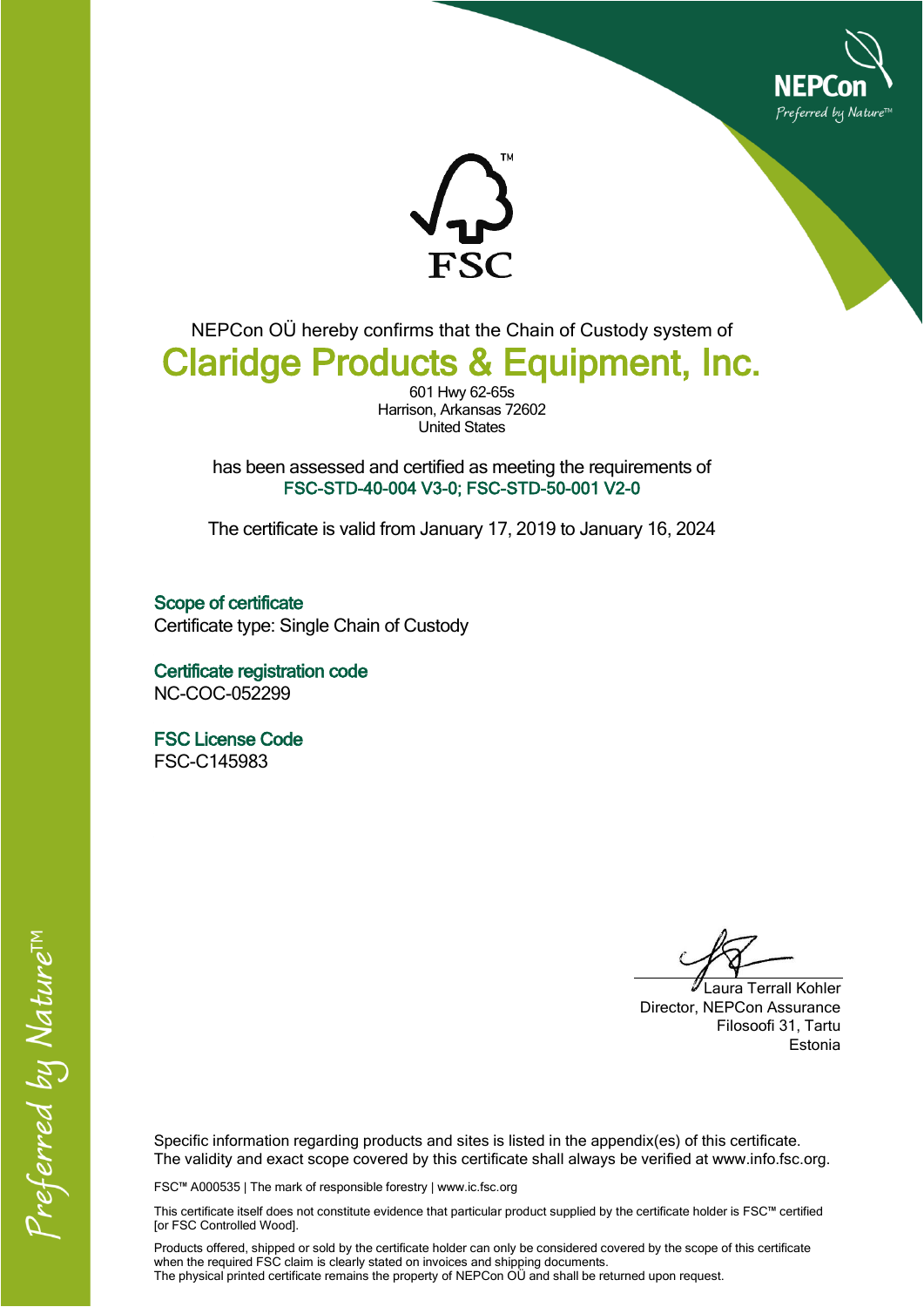



NEPCon OÜ hereby confirms that the Chain of Custody system of Claridge Products & Equipment, Inc.

> 601 Hwy 62-65s Harrison, Arkansas 72602 United States

has been assessed and certified as meeting the requirements of FSC-STD-40-004 V3-0; FSC-STD-50-001 V2-0

The certificate is valid from January 17, 2019 to January 16, 2024

Scope of certificate Certificate type: Single Chain of Custody

Certificate registration code NC-COC-052299

FSC License Code FSC-C145983

Laura Terrall Kohler Director, NEPCon Assurance Filosoofi 31, Tartu Estonia

Specific information regarding products and sites is listed in the appendix(es) of this certificate. The validity and exact scope covered by this certificate shall always be verified at www.info.fsc.org.

FSC™ A000535 | The mark of responsible forestry | www.ic.fsc.org

This certificate itself does not constitute evidence that particular product supplied by the certificate holder is FSC™ certified [or FSC Controlled Wood].

Products offered, shipped or sold by the certificate holder can only be considered covered by the scope of this certificate when the required FSC claim is clearly stated on invoices and shipping documents. The physical printed certificate remains the property of NEPCon OÜ and shall be returned upon request.